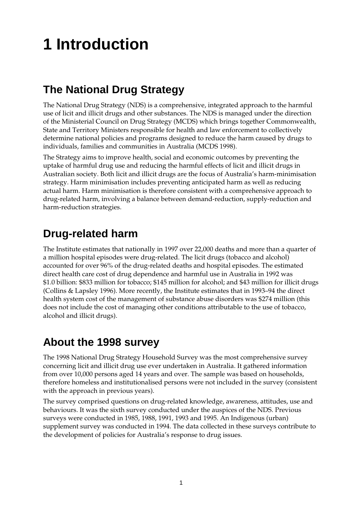# **1 Introduction**

## **The National Drug Strategy**

The National Drug Strategy (NDS) is a comprehensive, integrated approach to the harmful use of licit and illicit drugs and other substances. The NDS is managed under the direction of the Ministerial Council on Drug Strategy (MCDS) which brings together Commonwealth, State and Territory Ministers responsible for health and law enforcement to collectively determine national policies and programs designed to reduce the harm caused by drugs to individuals, families and communities in Australia (MCDS 1998).

The Strategy aims to improve health, social and economic outcomes by preventing the uptake of harmful drug use and reducing the harmful effects of licit and illicit drugs in Australian society. Both licit and illicit drugs are the focus of Australia's harm-minimisation strategy. Harm minimisation includes preventing anticipated harm as well as reducing actual harm. Harm minimisation is therefore consistent with a comprehensive approach to drug-related harm, involving a balance between demand-reduction, supply-reduction and harm-reduction strategies.

### **Drug-related harm**

The Institute estimates that nationally in 1997 over 22,000 deaths and more than a quarter of a million hospital episodes were drug-related. The licit drugs (tobacco and alcohol) accounted for over 96% of the drug-related deaths and hospital episodes. The estimated direct health care cost of drug dependence and harmful use in Australia in 1992 was \$1.0 billion: \$833 million for tobacco; \$145 million for alcohol; and \$43 million for illicit drugs (Collins & Lapsley 1996). More recently, the Institute estimates that in 1993–94 the direct health system cost of the management of substance abuse disorders was \$274 million (this does not include the cost of managing other conditions attributable to the use of tobacco, alcohol and illicit drugs).

#### **About the 1998 survey**

The 1998 National Drug Strategy Household Survey was the most comprehensive survey concerning licit and illicit drug use ever undertaken in Australia. It gathered information from over 10,000 persons aged 14 years and over. The sample was based on households, therefore homeless and institutionalised persons were not included in the survey (consistent with the approach in previous years).

The survey comprised questions on drug-related knowledge, awareness, attitudes, use and behaviours. It was the sixth survey conducted under the auspices of the NDS. Previous surveys were conducted in 1985, 1988, 1991, 1993 and 1995. An Indigenous (urban) supplement survey was conducted in 1994. The data collected in these surveys contribute to the development of policies for Australia's response to drug issues.